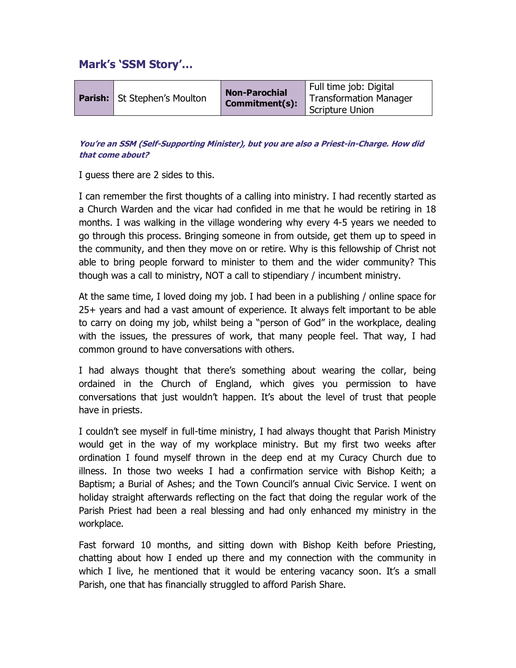# Mark's 'SSM Story'…

|  | <b>Parish:</b> St Stephen's Moulton | <b>Non-Parochial</b><br>Commitment(s): | Full time job: Digital<br><b>Transformation Manager</b><br><b>Scripture Union</b> |
|--|-------------------------------------|----------------------------------------|-----------------------------------------------------------------------------------|
|--|-------------------------------------|----------------------------------------|-----------------------------------------------------------------------------------|

## You're an SSM (Self-Supporting Minister), but you are also a Priest-in-Charge. How did that come about?

I guess there are 2 sides to this.

I can remember the first thoughts of a calling into ministry. I had recently started as a Church Warden and the vicar had confided in me that he would be retiring in 18 months. I was walking in the village wondering why every 4-5 years we needed to go through this process. Bringing someone in from outside, get them up to speed in the community, and then they move on or retire. Why is this fellowship of Christ not able to bring people forward to minister to them and the wider community? This though was a call to ministry, NOT a call to stipendiary / incumbent ministry.

At the same time, I loved doing my job. I had been in a publishing / online space for 25+ years and had a vast amount of experience. It always felt important to be able to carry on doing my job, whilst being a "person of God" in the workplace, dealing with the issues, the pressures of work, that many people feel. That way, I had common ground to have conversations with others.

I had always thought that there's something about wearing the collar, being ordained in the Church of England, which gives you permission to have conversations that just wouldn't happen. It's about the level of trust that people have in priests.

I couldn't see myself in full-time ministry, I had always thought that Parish Ministry would get in the way of my workplace ministry. But my first two weeks after ordination I found myself thrown in the deep end at my Curacy Church due to illness. In those two weeks I had a confirmation service with Bishop Keith; a Baptism; a Burial of Ashes; and the Town Council's annual Civic Service. I went on holiday straight afterwards reflecting on the fact that doing the regular work of the Parish Priest had been a real blessing and had only enhanced my ministry in the workplace.

Fast forward 10 months, and sitting down with Bishop Keith before Priesting, chatting about how I ended up there and my connection with the community in which I live, he mentioned that it would be entering vacancy soon. It's a small Parish, one that has financially struggled to afford Parish Share.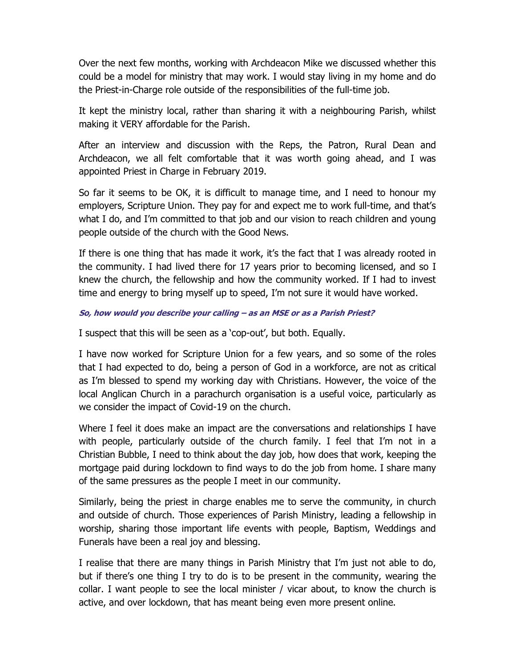Over the next few months, working with Archdeacon Mike we discussed whether this could be a model for ministry that may work. I would stay living in my home and do the Priest-in-Charge role outside of the responsibilities of the full-time job.

It kept the ministry local, rather than sharing it with a neighbouring Parish, whilst making it VERY affordable for the Parish.

After an interview and discussion with the Reps, the Patron, Rural Dean and Archdeacon, we all felt comfortable that it was worth going ahead, and I was appointed Priest in Charge in February 2019.

So far it seems to be OK, it is difficult to manage time, and I need to honour my employers, Scripture Union. They pay for and expect me to work full-time, and that's what I do, and I'm committed to that job and our vision to reach children and young people outside of the church with the Good News.

If there is one thing that has made it work, it's the fact that I was already rooted in the community. I had lived there for 17 years prior to becoming licensed, and so I knew the church, the fellowship and how the community worked. If I had to invest time and energy to bring myself up to speed, I'm not sure it would have worked.

### So, how would you describe your calling – as an MSE or as a Parish Priest?

I suspect that this will be seen as a 'cop-out', but both. Equally.

I have now worked for Scripture Union for a few years, and so some of the roles that I had expected to do, being a person of God in a workforce, are not as critical as I'm blessed to spend my working day with Christians. However, the voice of the local Anglican Church in a parachurch organisation is a useful voice, particularly as we consider the impact of Covid-19 on the church.

Where I feel it does make an impact are the conversations and relationships I have with people, particularly outside of the church family. I feel that I'm not in a Christian Bubble, I need to think about the day job, how does that work, keeping the mortgage paid during lockdown to find ways to do the job from home. I share many of the same pressures as the people I meet in our community.

Similarly, being the priest in charge enables me to serve the community, in church and outside of church. Those experiences of Parish Ministry, leading a fellowship in worship, sharing those important life events with people, Baptism, Weddings and Funerals have been a real joy and blessing.

I realise that there are many things in Parish Ministry that I'm just not able to do, but if there's one thing I try to do is to be present in the community, wearing the collar. I want people to see the local minister / vicar about, to know the church is active, and over lockdown, that has meant being even more present online.